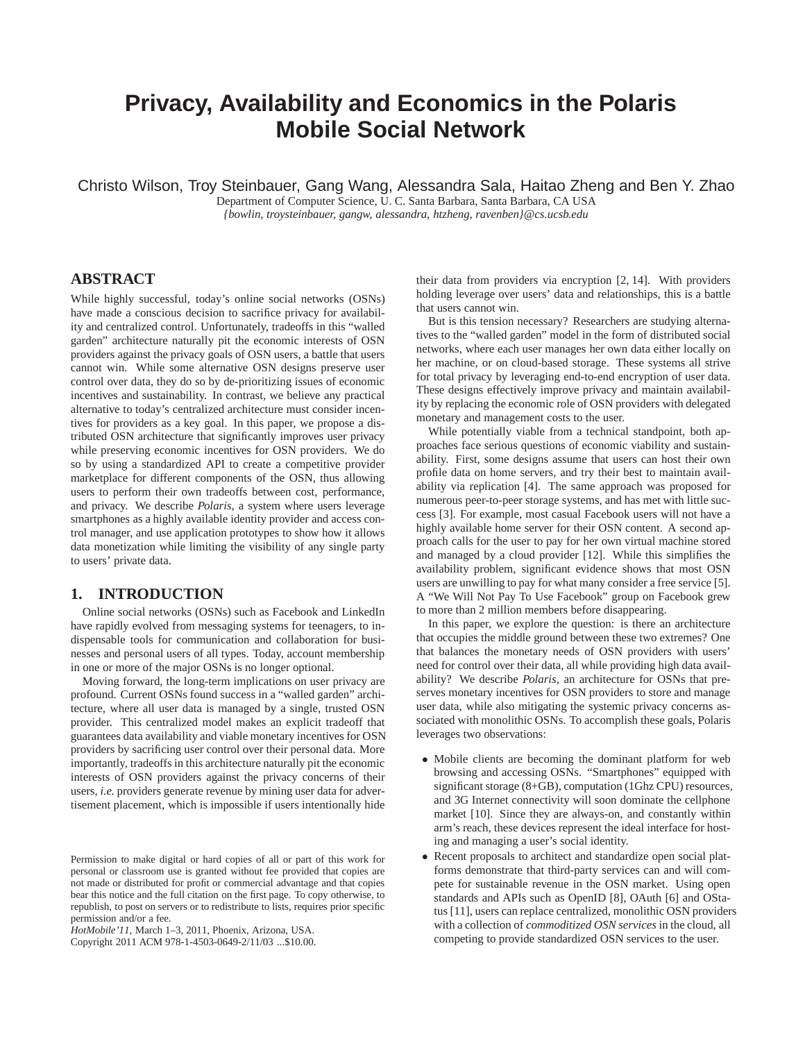# **Privacy, Availability and Economics in the Polaris Mobile Social Network**

Christo Wilson, Troy Steinbauer, Gang Wang, Alessandra Sala, Haitao Zheng and Ben Y. Zhao

Department of Computer Science, U. C. Santa Barbara, Santa Barbara, CA USA *{bowlin, troysteinbauer, gangw, alessandra, htzheng, ravenben}@cs.ucsb.edu*

## **ABSTRACT**

While highly successful, today's online social networks (OSNs) have made a conscious decision to sacrifice privacy for availability and centralized control. Unfortunately, tradeoffs in this "walled garden" architecture naturally pit the economic interests of OSN providers against the privacy goals of OSN users, a battle that users cannot win. While some alternative OSN designs preserve user control over data, they do so by de-prioritizing issues of economic incentives and sustainability. In contrast, we believe any practical alternative to today's centralized architecture must consider incentives for providers as a key goal. In this paper, we propose a distributed OSN architecture that significantly improves user privacy while preserving economic incentives for OSN providers. We do so by using a standardized API to create a competitive provider marketplace for different components of the OSN, thus allowing users to perform their own tradeoffs between cost, performance, and privacy. We describe *Polaris*, a system where users leverage smartphones as a highly available identity provider and access control manager, and use application prototypes to show how it allows data monetization while limiting the visibility of any single party to users' private data.

# **1. INTRODUCTION**

Online social networks (OSNs) such as Facebook and LinkedIn have rapidly evolved from messaging systems for teenagers, to indispensable tools for communication and collaboration for businesses and personal users of all types. Today, account membership in one or more of the major OSNs is no longer optional.

Moving forward, the long-term implications on user privacy are profound. Current OSNs found success in a "walled garden" architecture, where all user data is managed by a single, trusted OSN provider. This centralized model makes an explicit tradeoff that guarantees data availability and viable monetary incentives for OSN providers by sacrificing user control over their personal data. More importantly, tradeoffs in this architecture naturally pit the economic interests of OSN providers against the privacy concerns of their users, *i.e.* providers generate revenue by mining user data for advertisement placement, which is impossible if users intentionally hide

Copyright 2011 ACM 978-1-4503-0649-2/11/03 ...\$10.00.

their data from providers via encryption [2, 14]. With providers holding leverage over users' data and relationships, this is a battle that users cannot win.

But is this tension necessary? Researchers are studying alternatives to the "walled garden" model in the form of distributed social networks, where each user manages her own data either locally on her machine, or on cloud-based storage. These systems all strive for total privacy by leveraging end-to-end encryption of user data. These designs effectively improve privacy and maintain availability by replacing the economic role of OSN providers with delegated monetary and management costs to the user.

While potentially viable from a technical standpoint, both approaches face serious questions of economic viability and sustainability. First, some designs assume that users can host their own profile data on home servers, and try their best to maintain availability via replication [4]. The same approach was proposed for numerous peer-to-peer storage systems, and has met with little success [3]. For example, most casual Facebook users will not have a highly available home server for their OSN content. A second approach calls for the user to pay for her own virtual machine stored and managed by a cloud provider [12]. While this simplifies the availability problem, significant evidence shows that most OSN users are unwilling to pay for what many consider a free service [5]. A "We Will Not Pay To Use Facebook" group on Facebook grew to more than 2 million members before disappearing.

In this paper, we explore the question: is there an architecture that occupies the middle ground between these two extremes? One that balances the monetary needs of OSN providers with users' need for control over their data, all while providing high data availability? We describe *Polaris*, an architecture for OSNs that preserves monetary incentives for OSN providers to store and manage user data, while also mitigating the systemic privacy concerns associated with monolithic OSNs. To accomplish these goals, Polaris leverages two observations:

- Mobile clients are becoming the dominant platform for web browsing and accessing OSNs. "Smartphones" equipped with significant storage (8+GB), computation (1Ghz CPU) resources, and 3G Internet connectivity will soon dominate the cellphone market [10]. Since they are always-on, and constantly within arm's reach, these devices represent the ideal interface for hosting and managing a user's social identity.
- Recent proposals to architect and standardize open social platforms demonstrate that third-party services can and will compete for sustainable revenue in the OSN market. Using open standards and APIs such as OpenID [8], OAuth [6] and OStatus [11], users can replace centralized, monolithic OSN providers with a collection of *commoditized OSN services* in the cloud, all competing to provide standardized OSN services to the user.

Permission to make digital or hard copies of all or part of this work for personal or classroom use is granted without fee provided that copies are not made or distributed for profit or commercial advantage and that copies bear this notice and the full citation on the first page. To copy otherwise, to republish, to post on servers or to redistribute to lists, requires prior specific permission and/or a fee.

*HotMobile'11,* March 1–3, 2011, Phoenix, Arizona, USA.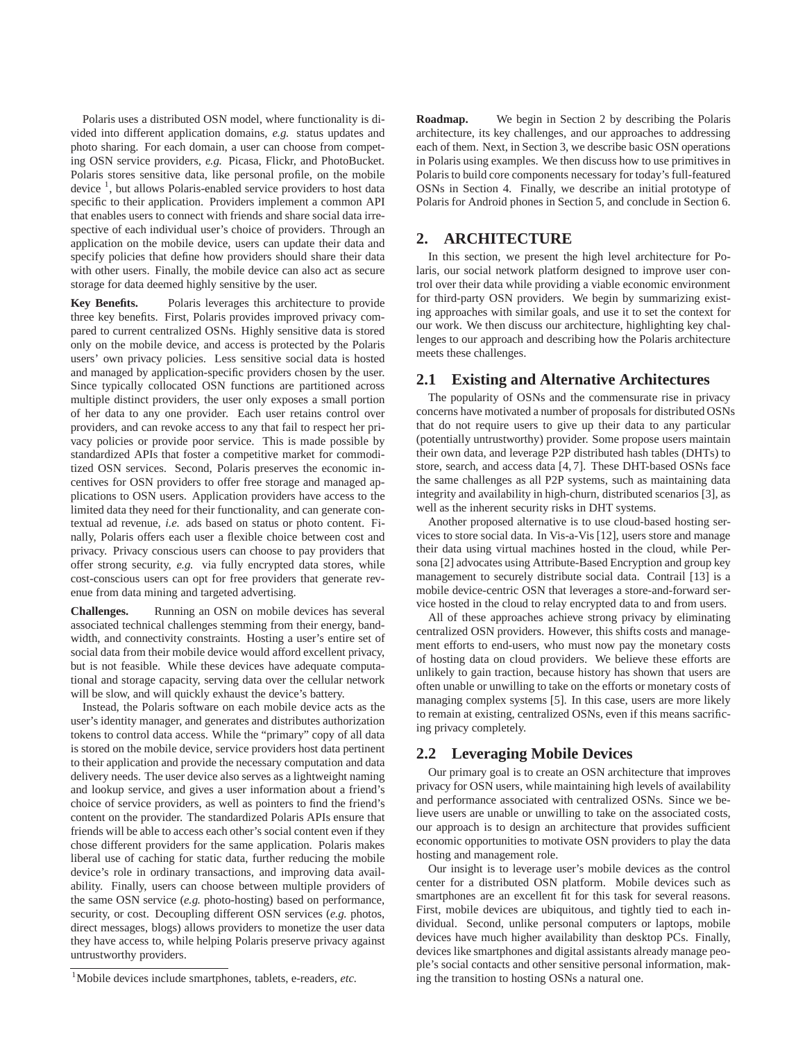Polaris uses a distributed OSN model, where functionality is divided into different application domains, *e.g.* status updates and photo sharing. For each domain, a user can choose from competing OSN service providers, *e.g.* Picasa, Flickr, and PhotoBucket. Polaris stores sensitive data, like personal profile, on the mobile device<sup>1</sup>, but allows Polaris-enabled service providers to host data specific to their application. Providers implement a common API that enables users to connect with friends and share social data irrespective of each individual user's choice of providers. Through an application on the mobile device, users can update their data and specify policies that define how providers should share their data with other users. Finally, the mobile device can also act as secure storage for data deemed highly sensitive by the user.

**Key Benefits.** Polaris leverages this architecture to provide three key benefits. First, Polaris provides improved privacy compared to current centralized OSNs. Highly sensitive data is stored only on the mobile device, and access is protected by the Polaris users' own privacy policies. Less sensitive social data is hosted and managed by application-specific providers chosen by the user. Since typically collocated OSN functions are partitioned across multiple distinct providers, the user only exposes a small portion of her data to any one provider. Each user retains control over providers, and can revoke access to any that fail to respect her privacy policies or provide poor service. This is made possible by standardized APIs that foster a competitive market for commoditized OSN services. Second, Polaris preserves the economic incentives for OSN providers to offer free storage and managed applications to OSN users. Application providers have access to the limited data they need for their functionality, and can generate contextual ad revenue, *i.e.* ads based on status or photo content. Finally, Polaris offers each user a flexible choice between cost and privacy. Privacy conscious users can choose to pay providers that offer strong security, *e.g.* via fully encrypted data stores, while cost-conscious users can opt for free providers that generate revenue from data mining and targeted advertising.

**Challenges.** Running an OSN on mobile devices has several associated technical challenges stemming from their energy, bandwidth, and connectivity constraints. Hosting a user's entire set of social data from their mobile device would afford excellent privacy, but is not feasible. While these devices have adequate computational and storage capacity, serving data over the cellular network will be slow, and will quickly exhaust the device's battery.

Instead, the Polaris software on each mobile device acts as the user's identity manager, and generates and distributes authorization tokens to control data access. While the "primary" copy of all data is stored on the mobile device, service providers host data pertinent to their application and provide the necessary computation and data delivery needs. The user device also serves as a lightweight naming and lookup service, and gives a user information about a friend's choice of service providers, as well as pointers to find the friend's content on the provider. The standardized Polaris APIs ensure that friends will be able to access each other's social content even if they chose different providers for the same application. Polaris makes liberal use of caching for static data, further reducing the mobile device's role in ordinary transactions, and improving data availability. Finally, users can choose between multiple providers of the same OSN service (*e.g.* photo-hosting) based on performance, security, or cost. Decoupling different OSN services (*e.g.* photos, direct messages, blogs) allows providers to monetize the user data they have access to, while helping Polaris preserve privacy against untrustworthy providers.

**Roadmap.** We begin in Section 2 by describing the Polaris architecture, its key challenges, and our approaches to addressing each of them. Next, in Section 3, we describe basic OSN operations in Polaris using examples. We then discuss how to use primitives in Polaris to build core components necessary for today's full-featured OSNs in Section 4. Finally, we describe an initial prototype of Polaris for Android phones in Section 5, and conclude in Section 6.

# **2. ARCHITECTURE**

In this section, we present the high level architecture for Polaris, our social network platform designed to improve user control over their data while providing a viable economic environment for third-party OSN providers. We begin by summarizing existing approaches with similar goals, and use it to set the context for our work. We then discuss our architecture, highlighting key challenges to our approach and describing how the Polaris architecture meets these challenges.

#### **2.1 Existing and Alternative Architectures**

The popularity of OSNs and the commensurate rise in privacy concerns have motivated a number of proposals for distributed OSNs that do not require users to give up their data to any particular (potentially untrustworthy) provider. Some propose users maintain their own data, and leverage P2P distributed hash tables (DHTs) to store, search, and access data [4, 7]. These DHT-based OSNs face the same challenges as all P2P systems, such as maintaining data integrity and availability in high-churn, distributed scenarios [3], as well as the inherent security risks in DHT systems.

Another proposed alternative is to use cloud-based hosting services to store social data. In Vis-a-Vis [12], users store and manage their data using virtual machines hosted in the cloud, while Persona [2] advocates using Attribute-Based Encryption and group key management to securely distribute social data. Contrail [13] is a mobile device-centric OSN that leverages a store-and-forward service hosted in the cloud to relay encrypted data to and from users.

All of these approaches achieve strong privacy by eliminating centralized OSN providers. However, this shifts costs and management efforts to end-users, who must now pay the monetary costs of hosting data on cloud providers. We believe these efforts are unlikely to gain traction, because history has shown that users are often unable or unwilling to take on the efforts or monetary costs of managing complex systems [5]. In this case, users are more likely to remain at existing, centralized OSNs, even if this means sacrificing privacy completely.

#### **2.2 Leveraging Mobile Devices**

Our primary goal is to create an OSN architecture that improves privacy for OSN users, while maintaining high levels of availability and performance associated with centralized OSNs. Since we believe users are unable or unwilling to take on the associated costs, our approach is to design an architecture that provides sufficient economic opportunities to motivate OSN providers to play the data hosting and management role.

Our insight is to leverage user's mobile devices as the control center for a distributed OSN platform. Mobile devices such as smartphones are an excellent fit for this task for several reasons. First, mobile devices are ubiquitous, and tightly tied to each individual. Second, unlike personal computers or laptops, mobile devices have much higher availability than desktop PCs. Finally, devices like smartphones and digital assistants already manage people's social contacts and other sensitive personal information, making the transition to hosting OSNs a natural one.

<sup>1</sup>Mobile devices include smartphones, tablets, e-readers, *etc.*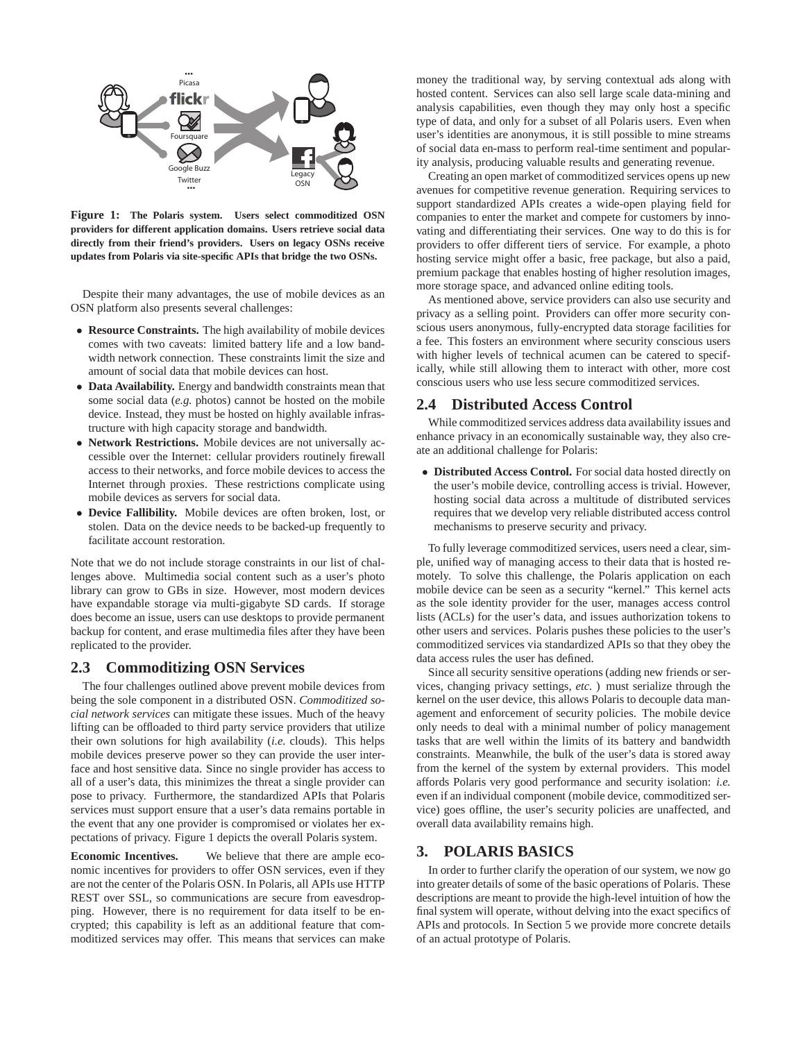

**Figure 1: The Polaris system. Users select commoditized OSN providers for different application domains. Users retrieve social data directly from their friend's providers. Users on legacy OSNs receive updates from Polaris via site-specific APIs that bridge the two OSNs.**

Despite their many advantages, the use of mobile devices as an OSN platform also presents several challenges:

- **Resource Constraints.** The high availability of mobile devices comes with two caveats: limited battery life and a low bandwidth network connection. These constraints limit the size and amount of social data that mobile devices can host.
- **Data Availability.** Energy and bandwidth constraints mean that some social data (*e.g.* photos) cannot be hosted on the mobile device. Instead, they must be hosted on highly available infrastructure with high capacity storage and bandwidth.
- **Network Restrictions.** Mobile devices are not universally accessible over the Internet: cellular providers routinely firewall access to their networks, and force mobile devices to access the Internet through proxies. These restrictions complicate using mobile devices as servers for social data.
- **Device Fallibility.** Mobile devices are often broken, lost, or stolen. Data on the device needs to be backed-up frequently to facilitate account restoration.

Note that we do not include storage constraints in our list of challenges above. Multimedia social content such as a user's photo library can grow to GBs in size. However, most modern devices have expandable storage via multi-gigabyte SD cards. If storage does become an issue, users can use desktops to provide permanent backup for content, and erase multimedia files after they have been replicated to the provider.

#### **2.3 Commoditizing OSN Services**

The four challenges outlined above prevent mobile devices from being the sole component in a distributed OSN. *Commoditized social network services* can mitigate these issues. Much of the heavy lifting can be offloaded to third party service providers that utilize their own solutions for high availability (*i.e.* clouds). This helps mobile devices preserve power so they can provide the user interface and host sensitive data. Since no single provider has access to all of a user's data, this minimizes the threat a single provider can pose to privacy. Furthermore, the standardized APIs that Polaris services must support ensure that a user's data remains portable in the event that any one provider is compromised or violates her expectations of privacy. Figure 1 depicts the overall Polaris system.

**Economic Incentives.** We believe that there are ample economic incentives for providers to offer OSN services, even if they are not the center of the Polaris OSN. In Polaris, all APIs use HTTP REST over SSL, so communications are secure from eavesdropping. However, there is no requirement for data itself to be encrypted; this capability is left as an additional feature that commoditized services may offer. This means that services can make

money the traditional way, by serving contextual ads along with hosted content. Services can also sell large scale data-mining and analysis capabilities, even though they may only host a specific type of data, and only for a subset of all Polaris users. Even when user's identities are anonymous, it is still possible to mine streams of social data en-mass to perform real-time sentiment and popularity analysis, producing valuable results and generating revenue.

Creating an open market of commoditized services opens up new avenues for competitive revenue generation. Requiring services to support standardized APIs creates a wide-open playing field for companies to enter the market and compete for customers by innovating and differentiating their services. One way to do this is for providers to offer different tiers of service. For example, a photo hosting service might offer a basic, free package, but also a paid, premium package that enables hosting of higher resolution images, more storage space, and advanced online editing tools.

As mentioned above, service providers can also use security and privacy as a selling point. Providers can offer more security conscious users anonymous, fully-encrypted data storage facilities for a fee. This fosters an environment where security conscious users with higher levels of technical acumen can be catered to specifically, while still allowing them to interact with other, more cost conscious users who use less secure commoditized services.

#### **2.4 Distributed Access Control**

While commoditized services address data availability issues and enhance privacy in an economically sustainable way, they also create an additional challenge for Polaris:

• **Distributed Access Control.** For social data hosted directly on the user's mobile device, controlling access is trivial. However, hosting social data across a multitude of distributed services requires that we develop very reliable distributed access control mechanisms to preserve security and privacy.

To fully leverage commoditized services, users need a clear, simple, unified way of managing access to their data that is hosted remotely. To solve this challenge, the Polaris application on each mobile device can be seen as a security "kernel." This kernel acts as the sole identity provider for the user, manages access control lists (ACLs) for the user's data, and issues authorization tokens to other users and services. Polaris pushes these policies to the user's commoditized services via standardized APIs so that they obey the data access rules the user has defined.

Since all security sensitive operations (adding new friends or services, changing privacy settings, *etc.* ) must serialize through the kernel on the user device, this allows Polaris to decouple data management and enforcement of security policies. The mobile device only needs to deal with a minimal number of policy management tasks that are well within the limits of its battery and bandwidth constraints. Meanwhile, the bulk of the user's data is stored away from the kernel of the system by external providers. This model affords Polaris very good performance and security isolation: *i.e.* even if an individual component (mobile device, commoditized service) goes offline, the user's security policies are unaffected, and overall data availability remains high.

#### **3. POLARIS BASICS**

In order to further clarify the operation of our system, we now go into greater details of some of the basic operations of Polaris. These descriptions are meant to provide the high-level intuition of how the final system will operate, without delving into the exact specifics of APIs and protocols. In Section 5 we provide more concrete details of an actual prototype of Polaris.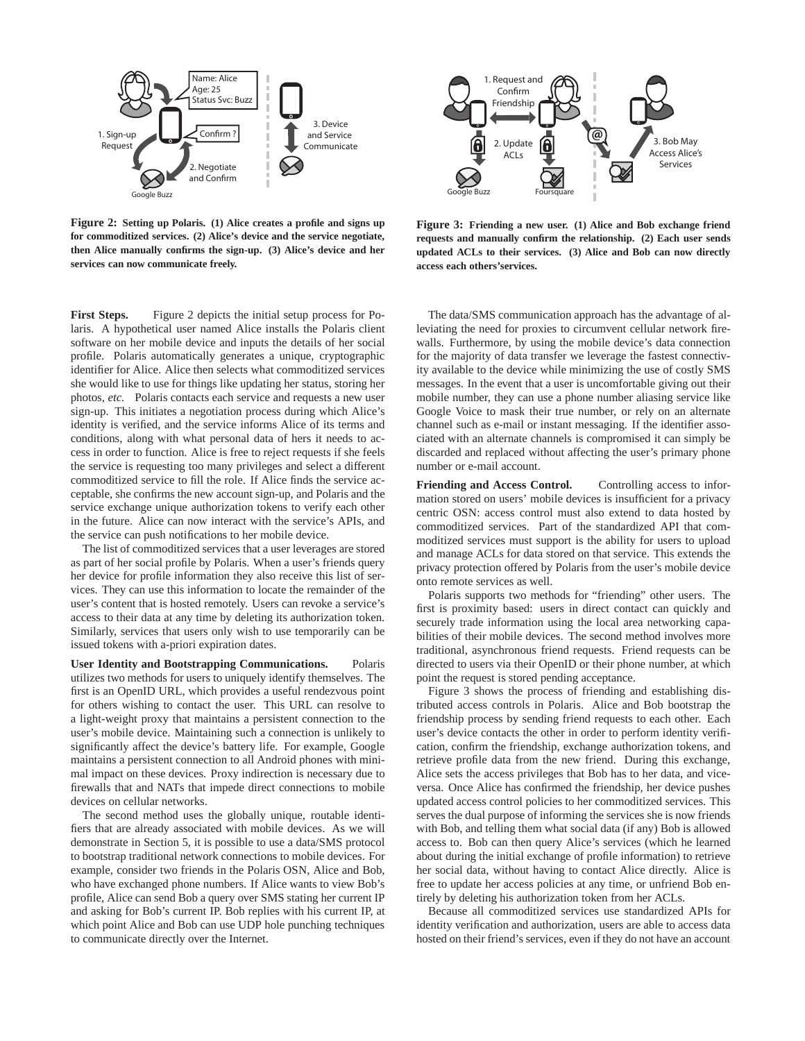

**Figure 2: Setting up Polaris. (1) Alice creates a profile and signs up for commoditized services. (2) Alice's device and the service negotiate, then Alice manually confirms the sign-up. (3) Alice's device and her services can now communicate freely.**

First Steps. Figure 2 depicts the initial setup process for Polaris. A hypothetical user named Alice installs the Polaris client software on her mobile device and inputs the details of her social profile. Polaris automatically generates a unique, cryptographic identifier for Alice. Alice then selects what commoditized services she would like to use for things like updating her status, storing her photos, *etc.* Polaris contacts each service and requests a new user sign-up. This initiates a negotiation process during which Alice's identity is verified, and the service informs Alice of its terms and conditions, along with what personal data of hers it needs to access in order to function. Alice is free to reject requests if she feels the service is requesting too many privileges and select a different commoditized service to fill the role. If Alice finds the service acceptable, she confirms the new account sign-up, and Polaris and the service exchange unique authorization tokens to verify each other in the future. Alice can now interact with the service's APIs, and the service can push notifications to her mobile device.

The list of commoditized services that a user leverages are stored as part of her social profile by Polaris. When a user's friends query her device for profile information they also receive this list of services. They can use this information to locate the remainder of the user's content that is hosted remotely. Users can revoke a service's access to their data at any time by deleting its authorization token. Similarly, services that users only wish to use temporarily can be issued tokens with a-priori expiration dates.

**User Identity and Bootstrapping Communications.** Polaris utilizes two methods for users to uniquely identify themselves. The first is an OpenID URL, which provides a useful rendezvous point for others wishing to contact the user. This URL can resolve to a light-weight proxy that maintains a persistent connection to the user's mobile device. Maintaining such a connection is unlikely to significantly affect the device's battery life. For example, Google maintains a persistent connection to all Android phones with minimal impact on these devices. Proxy indirection is necessary due to firewalls that and NATs that impede direct connections to mobile devices on cellular networks.

The second method uses the globally unique, routable identifiers that are already associated with mobile devices. As we will demonstrate in Section 5, it is possible to use a data/SMS protocol to bootstrap traditional network connections to mobile devices. For example, consider two friends in the Polaris OSN, Alice and Bob, who have exchanged phone numbers. If Alice wants to view Bob's profile, Alice can send Bob a query over SMS stating her current IP and asking for Bob's current IP. Bob replies with his current IP, at which point Alice and Bob can use UDP hole punching techniques to communicate directly over the Internet.



**Figure 3: Friending a new user. (1) Alice and Bob exchange friend requests and manually confirm the relationship. (2) Each user sends updated ACLs to their services. (3) Alice and Bob can now directly access each others'services.**

The data/SMS communication approach has the advantage of alleviating the need for proxies to circumvent cellular network firewalls. Furthermore, by using the mobile device's data connection for the majority of data transfer we leverage the fastest connectivity available to the device while minimizing the use of costly SMS messages. In the event that a user is uncomfortable giving out their mobile number, they can use a phone number aliasing service like Google Voice to mask their true number, or rely on an alternate channel such as e-mail or instant messaging. If the identifier associated with an alternate channels is compromised it can simply be discarded and replaced without affecting the user's primary phone number or e-mail account.

Friending and Access Control. Controlling access to information stored on users' mobile devices is insufficient for a privacy centric OSN: access control must also extend to data hosted by commoditized services. Part of the standardized API that commoditized services must support is the ability for users to upload and manage ACLs for data stored on that service. This extends the privacy protection offered by Polaris from the user's mobile device onto remote services as well.

Polaris supports two methods for "friending" other users. The first is proximity based: users in direct contact can quickly and securely trade information using the local area networking capabilities of their mobile devices. The second method involves more traditional, asynchronous friend requests. Friend requests can be directed to users via their OpenID or their phone number, at which point the request is stored pending acceptance.

Figure 3 shows the process of friending and establishing distributed access controls in Polaris. Alice and Bob bootstrap the friendship process by sending friend requests to each other. Each user's device contacts the other in order to perform identity verification, confirm the friendship, exchange authorization tokens, and retrieve profile data from the new friend. During this exchange, Alice sets the access privileges that Bob has to her data, and viceversa. Once Alice has confirmed the friendship, her device pushes updated access control policies to her commoditized services. This serves the dual purpose of informing the services she is now friends with Bob, and telling them what social data (if any) Bob is allowed access to. Bob can then query Alice's services (which he learned about during the initial exchange of profile information) to retrieve her social data, without having to contact Alice directly. Alice is free to update her access policies at any time, or unfriend Bob entirely by deleting his authorization token from her ACLs.

Because all commoditized services use standardized APIs for identity verification and authorization, users are able to access data hosted on their friend's services, even if they do not have an account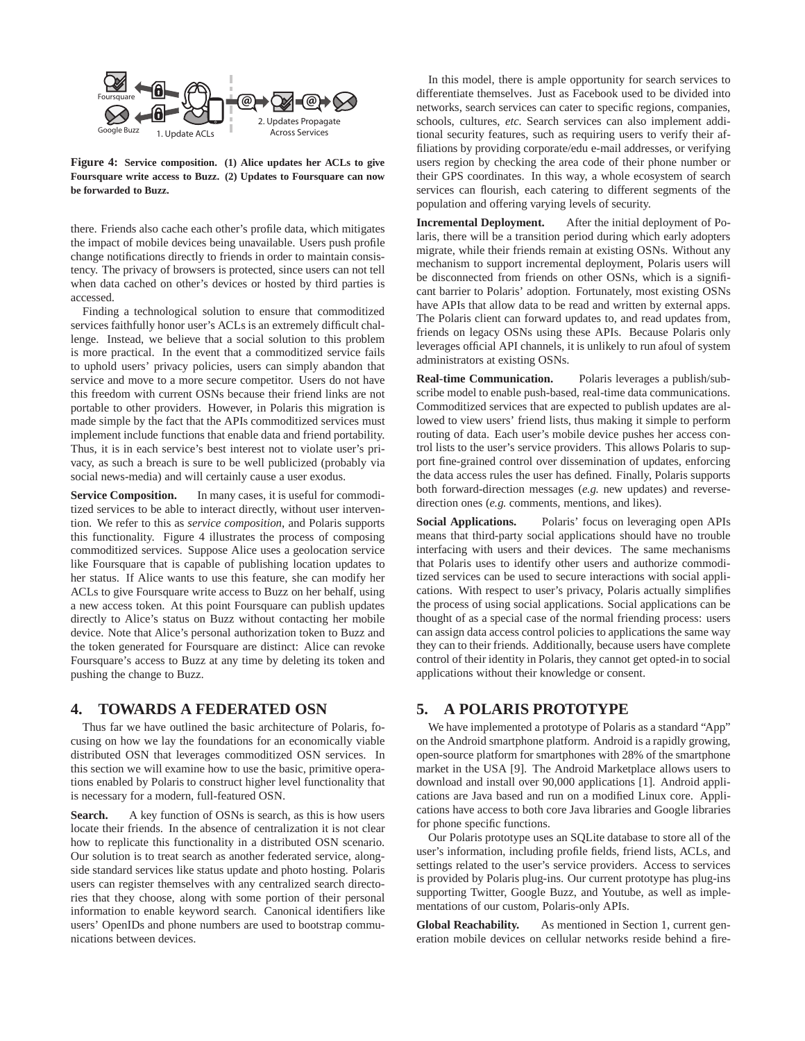

**Figure 4: Service composition. (1) Alice updates her ACLs to give Foursquare write access to Buzz. (2) Updates to Foursquare can now be forwarded to Buzz.**

there. Friends also cache each other's profile data, which mitigates the impact of mobile devices being unavailable. Users push profile change notifications directly to friends in order to maintain consistency. The privacy of browsers is protected, since users can not tell when data cached on other's devices or hosted by third parties is accessed.

Finding a technological solution to ensure that commoditized services faithfully honor user's ACLs is an extremely difficult challenge. Instead, we believe that a social solution to this problem is more practical. In the event that a commoditized service fails to uphold users' privacy policies, users can simply abandon that service and move to a more secure competitor. Users do not have this freedom with current OSNs because their friend links are not portable to other providers. However, in Polaris this migration is made simple by the fact that the APIs commoditized services must implement include functions that enable data and friend portability. Thus, it is in each service's best interest not to violate user's privacy, as such a breach is sure to be well publicized (probably via social news-media) and will certainly cause a user exodus.

**Service Composition.** In many cases, it is useful for commoditized services to be able to interact directly, without user intervention. We refer to this as *service composition*, and Polaris supports this functionality. Figure 4 illustrates the process of composing commoditized services. Suppose Alice uses a geolocation service like Foursquare that is capable of publishing location updates to her status. If Alice wants to use this feature, she can modify her ACLs to give Foursquare write access to Buzz on her behalf, using a new access token. At this point Foursquare can publish updates directly to Alice's status on Buzz without contacting her mobile device. Note that Alice's personal authorization token to Buzz and the token generated for Foursquare are distinct: Alice can revoke Foursquare's access to Buzz at any time by deleting its token and pushing the change to Buzz.

## **4. TOWARDS A FEDERATED OSN**

Thus far we have outlined the basic architecture of Polaris, focusing on how we lay the foundations for an economically viable distributed OSN that leverages commoditized OSN services. In this section we will examine how to use the basic, primitive operations enabled by Polaris to construct higher level functionality that is necessary for a modern, full-featured OSN.

Search. A key function of OSNs is search, as this is how users locate their friends. In the absence of centralization it is not clear how to replicate this functionality in a distributed OSN scenario. Our solution is to treat search as another federated service, alongside standard services like status update and photo hosting. Polaris users can register themselves with any centralized search directories that they choose, along with some portion of their personal information to enable keyword search. Canonical identifiers like users' OpenIDs and phone numbers are used to bootstrap communications between devices.

In this model, there is ample opportunity for search services to differentiate themselves. Just as Facebook used to be divided into networks, search services can cater to specific regions, companies, schools, cultures, *etc.* Search services can also implement additional security features, such as requiring users to verify their affiliations by providing corporate/edu e-mail addresses, or verifying users region by checking the area code of their phone number or their GPS coordinates. In this way, a whole ecosystem of search services can flourish, each catering to different segments of the population and offering varying levels of security.

**Incremental Deployment.** After the initial deployment of Polaris, there will be a transition period during which early adopters migrate, while their friends remain at existing OSNs. Without any mechanism to support incremental deployment, Polaris users will be disconnected from friends on other OSNs, which is a significant barrier to Polaris' adoption. Fortunately, most existing OSNs have APIs that allow data to be read and written by external apps. The Polaris client can forward updates to, and read updates from, friends on legacy OSNs using these APIs. Because Polaris only leverages official API channels, it is unlikely to run afoul of system administrators at existing OSNs.

**Real-time Communication.** Polaris leverages a publish/subscribe model to enable push-based, real-time data communications. Commoditized services that are expected to publish updates are allowed to view users' friend lists, thus making it simple to perform routing of data. Each user's mobile device pushes her access control lists to the user's service providers. This allows Polaris to support fine-grained control over dissemination of updates, enforcing the data access rules the user has defined. Finally, Polaris supports both forward-direction messages (*e.g.* new updates) and reversedirection ones (*e.g.* comments, mentions, and likes).

**Social Applications.** Polaris' focus on leveraging open APIs means that third-party social applications should have no trouble interfacing with users and their devices. The same mechanisms that Polaris uses to identify other users and authorize commoditized services can be used to secure interactions with social applications. With respect to user's privacy, Polaris actually simplifies the process of using social applications. Social applications can be thought of as a special case of the normal friending process: users can assign data access control policies to applications the same way they can to their friends. Additionally, because users have complete control of their identity in Polaris, they cannot get opted-in to social applications without their knowledge or consent.

## **5. A POLARIS PROTOTYPE**

We have implemented a prototype of Polaris as a standard "App" on the Android smartphone platform. Android is a rapidly growing, open-source platform for smartphones with 28% of the smartphone market in the USA [9]. The Android Marketplace allows users to download and install over 90,000 applications [1]. Android applications are Java based and run on a modified Linux core. Applications have access to both core Java libraries and Google libraries for phone specific functions.

Our Polaris prototype uses an SQLite database to store all of the user's information, including profile fields, friend lists, ACLs, and settings related to the user's service providers. Access to services is provided by Polaris plug-ins. Our current prototype has plug-ins supporting Twitter, Google Buzz, and Youtube, as well as implementations of our custom, Polaris-only APIs.

**Global Reachability.** As mentioned in Section 1, current generation mobile devices on cellular networks reside behind a fire